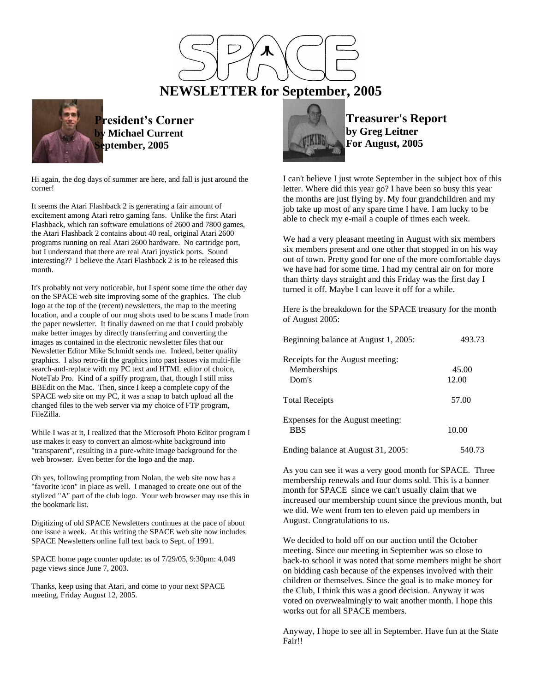

**President's Corner**



**Michael Current September, 2005**

Hi again, the dog days of summer are here, and fall is just around the corner!

It seems the Atari Flashback 2 is generating a fair amount of excitement among Atari retro gaming fans. Unlike the first Atari Flashback, which ran software emulations of 2600 and 7800 games, the Atari Flashback 2 contains about 40 real, original Atari 2600 programs running on real Atari 2600 hardware. No cartridge port, but I understand that there are real Atari joystick ports. Sound interesting?? I believe the Atari Flashback 2 is to be released this month.

It's probably not very noticeable, but I spent some time the other day on the SPACE web site improving some of the graphics. The club logo at the top of the (recent) newsletters, the map to the meeting location, and a couple of our mug shots used to be scans I made from the paper newsletter. It finally dawned on me that I could probably make better images by directly transferring and converting the images as contained in the electronic newsletter files that our Newsletter Editor Mike Schmidt sends me. Indeed, better quality graphics. I also retro-fit the graphics into past issues via multi-file search-and-replace with my PC text and HTML editor of choice, NoteTab Pro. Kind of a spiffy program, that, though I still miss BBEdit on the Mac. Then, since I keep a complete copy of the SPACE web site on my PC, it was a snap to batch upload all the changed files to the web server via my choice of FTP program, FileZilla.

While I was at it, I realized that the Microsoft Photo Editor program I use makes it easy to convert an almost-white background into "transparent", resulting in a pure-white image background for the web browser. Even better for the logo and the map.

Oh yes, following prompting from Nolan, the web site now has a "favorite icon" in place as well. I managed to create one out of the stylized "A" part of the club logo. Your web browser may use this in the bookmark list.

Digitizing of old SPACE Newsletters continues at the pace of about one issue a week. At this writing the SPACE web site now includes SPACE Newsletters online full text back to Sept. of 1991.

SPACE home page counter update: as of 7/29/05, 9:30pm: 4,049 page views since June 7, 2003.

Thanks, keep using that Atari, and come to your next SPACE meeting, Friday August 12, 2005.



**Treasurer's Report by Greg Leitner For August, 2005**

I can't believe I just wrote September in the subject box of this letter. Where did this year go? I have been so busy this year the months are just flying by. My four grandchildren and my job take up most of any spare time I have. I am lucky to be able to check my e-mail a couple of times each week.

We had a very pleasant meeting in August with six members six members present and one other that stopped in on his way out of town. Pretty good for one of the more comfortable days we have had for some time. I had my central air on for more than thirty days straight and this Friday was the first day I turned it off. Maybe I can leave it off for a while.

Here is the breakdown for the SPACE treasury for the month of August 2005:

| 493.73<br>Beginning balance at August 1, 2005:           |                |  |  |
|----------------------------------------------------------|----------------|--|--|
| Receipts for the August meeting:<br>Memberships<br>Dom's | 45.00<br>12.00 |  |  |
| <b>Total Receipts</b>                                    | 57.00          |  |  |
| Expenses for the August meeting:<br><b>BBS</b>           | 10.00          |  |  |
| Ending balance at August 31, 2005:                       | 540.73         |  |  |

As you can see it was a very good month for SPACE. Three membership renewals and four doms sold. This is a banner month for SPACE since we can't usually claim that we increased our membership count since the previous month, but we did. We went from ten to eleven paid up members in August. Congratulations to us.

We decided to hold off on our auction until the October meeting. Since our meeting in September was so close to back-to school it was noted that some members might be short on bidding cash because of the expenses involved with their children or themselves. Since the goal is to make money for the Club, I think this was a good decision. Anyway it was voted on overwealmingly to wait another month. I hope this works out for all SPACE members.

Anyway, I hope to see all in September. Have fun at the State Fair!!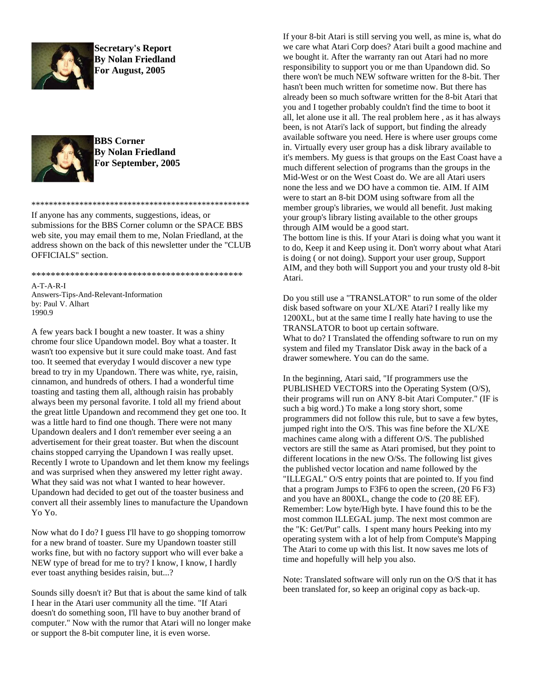

**Secretary's Report By Nolan Friedland For August, 2005**



**BBS Corner By Nolan Friedland For September, 2005**

If anyone has any comments, suggestions, ideas, or submissions for the BBS Corner column or the SPACE BBS web site, you may email them to me, Nolan Friedland, at the address shown on the back of this newsletter under the "CLUB OFFICIALS" section.

\*\*\*\*\*\*\*\*\*\*\*\*\*\*\*\*\*\*\*\*\*\*\*\*\*\*\*\*\*\*\*\*\*\*\*\*\*\*\*\*\*\*\*\*\*\*\*\*\*\*

## \*\*\*\*\*\*\*\*\*\*\*\*\*\*\*\*\*\*\*\*\*\*\*\*\*\*\*\*\*\*\*\*\*\*\*\*\*\*\*\*\*\*\*\*

A-T-A-R-I Answers-Tips-And-Relevant-Information by: Paul V. Alhart 1990.9

A few years back I bought a new toaster. It was a shiny chrome four slice Upandown model. Boy what a toaster. It wasn't too expensive but it sure could make toast. And fast too. It seemed that everyday I would discover a new type bread to try in my Upandown. There was white, rye, raisin, cinnamon, and hundreds of others. I had a wonderful time toasting and tasting them all, although raisin has probably always been my personal favorite. I told all my friend about the great little Upandown and recommend they get one too. It was a little hard to find one though. There were not many Upandown dealers and I don't remember ever seeing a an advertisement for their great toaster. But when the discount chains stopped carrying the Upandown I was really upset. Recently I wrote to Upandown and let them know my feelings and was surprised when they answered my letter right away. What they said was not what I wanted to hear however. Upandown had decided to get out of the toaster business and convert all their assembly lines to manufacture the Upandown Yo Yo.

Now what do I do? I guess I'll have to go shopping tomorrow for a new brand of toaster. Sure my Upandown toaster still works fine, but with no factory support who will ever bake a NEW type of bread for me to try? I know, I know, I hardly ever toast anything besides raisin, but...?

Sounds silly doesn't it? But that is about the same kind of talk I hear in the Atari user community all the time. "If Atari doesn't do something soon, I'll have to buy another brand of computer." Now with the rumor that Atari will no longer make or support the 8-bit computer line, it is even worse.

If your 8-bit Atari is still serving you well, as mine is, what do we care what Atari Corp does? Atari built a good machine and we bought it. After the warranty ran out Atari had no more responsibility to support you or me than Upandown did. So there won't be much NEW software written for the 8-bit. Ther hasn't been much written for sometime now. But there has already been so much software written for the 8-bit Atari that you and I together probably couldn't find the time to boot it all, let alone use it all. The real problem here , as it has always been, is not Atari's lack of support, but finding the already available software you need. Here is where user groups come in. Virtually every user group has a disk library available to it's members. My guess is that groups on the East Coast have a much different selection of programs than the groups in the Mid-West or on the West Coast do. We are all Atari users none the less and we DO have a common tie. AIM. If AIM were to start an 8-bit DOM using software from all the member group's libraries, we would all benefit. Just making your group's library listing available to the other groups through AIM would be a good start.

The bottom line is this. If your Atari is doing what you want it to do, Keep it and Keep using it. Don't worry about what Atari is doing ( or not doing). Support your user group, Support AIM, and they both will Support you and your trusty old 8-bit Atari.

Do you still use a "TRANSLATOR" to run some of the older disk based software on your XL/XE Atari? I really like my 1200XL, but at the same time I really hate having to use the TRANSLATOR to boot up certain software. What to do? I Translated the offending software to run on my system and filed my Translator Disk away in the back of a drawer somewhere. You can do the same.

In the beginning, Atari said, "If programmers use the PUBLISHED VECTORS into the Operating System (O/S), their programs will run on ANY 8-bit Atari Computer." (IF is such a big word.) To make a long story short, some programmers did not follow this rule, but to save a few bytes, jumped right into the O/S. This was fine before the XL/XE machines came along with a different O/S. The published vectors are still the same as Atari promised, but they point to different locations in the new O/Ss. The following list gives the published vector location and name followed by the "ILLEGAL" O/S entry points that are pointed to. If you find that a program Jumps to F3F6 to open the screen, (20 F6 F3) and you have an 800XL, change the code to (20 8E EF). Remember: Low byte/High byte. I have found this to be the most common ILLEGAL jump. The next most common are the "K: Get/Put" calls. I spent many hours Peeking into my operating system with a lot of help from Compute's Mapping The Atari to come up with this list. It now saves me lots of time and hopefully will help you also.

Note: Translated software will only run on the O/S that it has been translated for, so keep an original copy as back-up.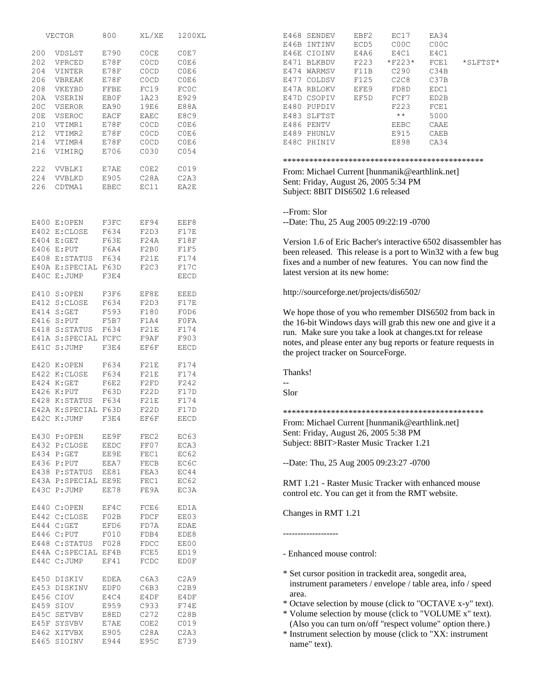|     | VECTOR               | 800          | XL/XE                         | 1200XL           | EC17<br>EA34<br>E468 SENDEV<br>EBF2                            |
|-----|----------------------|--------------|-------------------------------|------------------|----------------------------------------------------------------|
|     |                      |              |                               |                  | COOC<br>COOC<br>E46B INTINV<br>ECD5                            |
| 200 | VDSLST               | E790         | <b>COCE</b>                   | COE7             | E4A6<br>E4C1<br>E4C1<br>E46E CIOINV                            |
| 202 | VPRCED               | E78F         | C <sub>0</sub> C <sub>D</sub> | C0E6             | F223<br>$*$ F223*<br>FCE1<br>E471 BLKBDV<br>*SLFTST*           |
| 204 | VINTER               | E78F         | <b>COCD</b>                   | C0E6             | C34B<br>F11B<br>C290<br>E474 WARMSV                            |
| 206 | VBREAK               | E78F         | <b>COCD</b>                   | C0E6             | C <sub>2</sub> C <sub>8</sub><br>F125<br>C37B<br>E477 COLDSV   |
| 208 | VKEYBD               | ${\tt FFBE}$ | FC19                          | <b>FCOC</b>      | EFE9<br>FD8D<br>EDC1<br>E47A RBLOKV                            |
| 20A | VSERIN               | EB0F         | 1A23                          | E929             | EF5D<br>FCF7<br>ED2B<br>E47D CSOPIV                            |
| 20C | <b>VSEROR</b>        | EA90         | 19E6                          | E88A             | F223<br>E480 PUPDIV<br>FCE1                                    |
| 20E | VSEROC               | EACF         | EAEC                          | E8C9             | $\star$ $\star$<br>5000<br>E483 SLFTST                         |
| 210 |                      | E78F         |                               | C0E6             |                                                                |
|     | VTIMR1               |              | C <sub>0</sub> C <sub>D</sub> |                  | E486 PENTV<br>EEBC<br>CAAE                                     |
| 212 | VTIMR2               | E78F         | C <sub>0</sub> C <sub>D</sub> | C0E6             | E489 PHUNLV<br>E915<br>CAEB                                    |
| 214 | VTIMR4               | E78F         | C <sub>0</sub> C <sub>D</sub> | C0E6             | E898<br>CA34<br>E48C PHINIV                                    |
| 216 | VIMIRQ               | E706         | C030                          | CO <sub>54</sub> |                                                                |
| 222 | VVBLKI               | E7AE         | COE2                          | C019             |                                                                |
| 224 | VVBLKD               |              |                               |                  | From: Michael Current [hunmanik@earthlink.net]                 |
|     |                      | E905         | C28A                          | C2A3             | Sent: Friday, August 26, 2005 5:34 PM                          |
| 226 | CDTMA1               | EBEC         | EC11                          | EA2E             | Subject: 8BIT DIS6502 1.6 released                             |
|     |                      |              |                               |                  |                                                                |
|     |                      |              |                               |                  | --From: Slor                                                   |
|     | E400 E:OPEN          | F3FC         | EF94                          | EEF8             | --Date: Thu, 25 Aug 2005 09:22:19 -0700                        |
|     | E402 E:CLOSE         | F634         | F2D3                          | F17E             |                                                                |
|     | E404 E:GET           | F63E         | F24A                          | F18F             | Version 1.6 of Eric Bacher's interactive 6502 disassembler has |
|     | E406 E:PUT           | F6A4         | F2B0                          | F1F5             |                                                                |
|     | E408 E:STATUS        | F634         | F21E                          | F174             | been released. This release is a port to Win32 with a few bug  |
|     | E40A E:SPECIAL F63D  |              | F <sub>2</sub> C <sub>3</sub> | F17C             | fixes and a number of new features. You can now find the       |
|     | E40C E: JUMP         | F3E4         |                               | <b>EECD</b>      | latest version at its new home:                                |
|     |                      |              |                               |                  |                                                                |
|     | E410 S:OPEN          | F3F6         | EF8E                          | <b>EEED</b>      | http://sourceforge.net/projects/dis6502/                       |
|     | E412 S:CLOSE         | F634         | F2D3                          | F17E             |                                                                |
|     | E414 S:GET           | F593         | F180                          | F0D6             | We hope those of you who remember DIS6502 from back in         |
|     | E416 S:PUT           | F5B7         | F1A4                          | F0FA             |                                                                |
|     | E418 S: STATUS       | F634         | F21E                          | F174             | the 16-bit Windows days will grab this new one and give it a   |
|     |                      |              |                               |                  | run. Make sure you take a look at changes.txt for release      |
|     | E41A S: SPECIAL FCFC |              | F9AF                          | F903             | notes, and please enter any bug reports or feature requests in |
|     | E41C S: JUMP         | F3E4         | EF6F                          | <b>EECD</b>      | the project tracker on SourceForge.                            |
|     | E420 K:OPEN          | F634         | F21E                          | F174             |                                                                |
|     | E422 K: CLOSE        | F634         | F21E                          | F174             | Thanks!                                                        |
|     |                      |              |                               |                  |                                                                |
|     | E424 K:GET           | F6E2         | F2FD                          | F242             |                                                                |
|     | E426 K:PUT           | F63D         | F22D                          | F17D             | Slor                                                           |
|     | E428 K: STATUS       | F634         | F21E                          | F174             |                                                                |
|     | E42A K:SPECIAL F63D  |              | F22D                          | F17D             |                                                                |
|     | E42C K: JUMP         | F3E4         | EF6F                          | <b>EECD</b>      | From: Michael Current [hunmanik@earthlink.net]                 |
|     | E430 P:OPEN          | EE9F         | FEC2                          | EC63             | Sent: Friday, August 26, 2005 5:38 PM                          |
|     |                      |              |                               |                  | Subject: 8BIT>Raster Music Tracker 1.21                        |
|     | E432 P:CLOSE         | <b>EEDC</b>  | FF07                          | ECA3             |                                                                |
|     | E434 P:GET           | EE9E         | FEC1                          | EC62             |                                                                |
|     | E436 P:PUT           | EEA7         | FECB                          | EC6C             | --Date: Thu, 25 Aug 2005 09:23:27 -0700                        |
|     | E438 P:STATUS        | EE81         | FEA3                          | EC44             |                                                                |
|     | E43A P:SPECIAL EE9E  |              | FEC1                          | EC62             | RMT 1.21 - Raster Music Tracker with enhanced mouse            |
|     | E43C P: JUMP         | EE78         | FE9A                          | EC3A             | control etc. You can get it from the RMT website.              |
|     |                      |              |                               |                  |                                                                |
|     | E440 C:OPEN          | EF4C         | FCE6                          | ED1A             | Changes in RMT 1.21                                            |
|     | E442 C:CLOSE         | F02B         | FDCF                          | EE03             |                                                                |
|     | E444 C:GET           | EFD6         | FD7A                          | EDAE             |                                                                |
|     | E446 C:PUT           | F010         | FDB4                          | EDE8             | ------------------                                             |
|     | E448 C: STATUS       | F028         | FDCC                          | EE00             |                                                                |
|     | E44A C: SPECIAL EF4B |              | FCE5                          | ED19             | - Enhanced mouse control:                                      |
|     | E44C C:JUMP          | EF41         | FCDC                          | ED0F             |                                                                |
|     |                      |              |                               |                  | * Set cursor position in trackedit area, songedit area,        |
|     | E450 DISKIV          | EDEA         | C6A3                          | C2A9             | instrument parameters / envelope / table area, info / speed    |
|     | E453 DISKINV         | EDF0         | C6B3                          | C2B9             |                                                                |
|     | E456 CIOV            | E4C4         | E4DF                          | E4DF             | area.                                                          |
|     | E459 SIOV            | E959         | C933                          | F74E             | * Octave selection by mouse (click to "OCTAVE x-y" text).      |
|     | E45C SETVBV          | E8ED         | C <sub>272</sub>              | C28B             | * Volume selection by mouse (click to "VOLUME x" text).        |
|     | E45F SYSVBV          | E7AE         | COE2                          | C019             | (Also you can turn on/off "respect volume" option there.)      |
|     | E462 XITVBX          | E905         | C28A                          | C2A3             | * Instrument selection by mouse (click to "XX: instrument      |
|     | E465 SIOINV          | E944         | E95C                          | E739             |                                                                |
|     |                      |              |                               |                  | name" text).                                                   |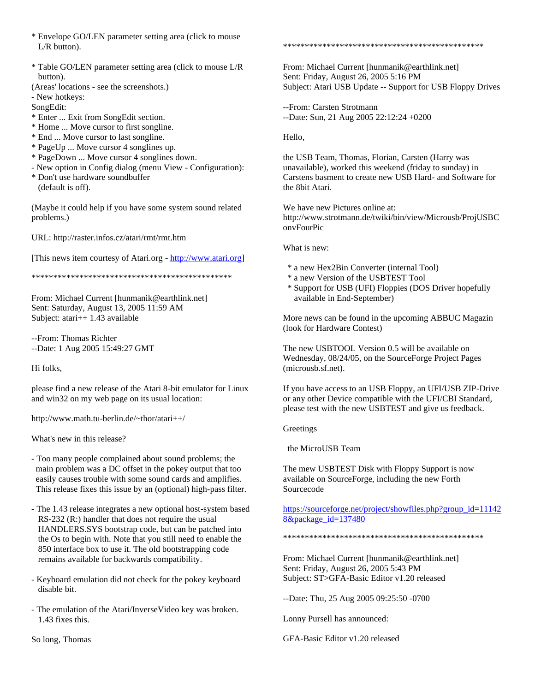- \* Envelope GO/LEN parameter setting area (click to mouse L/R button).
- \* Table GO/LEN parameter setting area (click to mouse L/R button).
- (Areas' locations see the screenshots.)

- New hotkeys:

SongEdit:

- \* Enter ... Exit from SongEdit section.
- \* Home ... Move cursor to first songline.
- \* End ... Move cursor to last songline.
- \* PageUp ... Move cursor 4 songlines up.
- \* PageDown ... Move cursor 4 songlines down.
- New option in Config dialog (menu View Configuration):
- \* Don't use hardware soundbuffer (default is off).

(Maybe it could help if you have some system sound related problems.)

URL: http://raster.infos.cz/atari/rmt/rmt.htm

[This news item courtesy of Atari.org - [http://www.atari.org\]](http://www.atari.org/)

\*\*\*\*\*\*\*\*\*\*\*\*\*\*\*\*\*\*\*\*\*\*\*\*\*\*\*\*\*\*\*\*\*\*\*\*\*\*\*\*\*\*\*\*\*\*

From: Michael Current [hunmanik@earthlink.net] Sent: Saturday, August 13, 2005 11:59 AM Subject: atari++ 1.43 available

--From: Thomas Richter --Date: 1 Aug 2005 15:49:27 GMT

Hi folks,

please find a new release of the Atari 8-bit emulator for Linux and win32 on my web page on its usual location:

http://www.math.tu-berlin.de/~thor/atari++/

What's new in this release?

- Too many people complained about sound problems; the main problem was a DC offset in the pokey output that too easily causes trouble with some sound cards and amplifies. This release fixes this issue by an (optional) high-pass filter.
- The 1.43 release integrates a new optional host-system based RS-232 (R:) handler that does not require the usual HANDLERS.SYS bootstrap code, but can be patched into the Os to begin with. Note that you still need to enable the 850 interface box to use it. The old bootstrapping code remains available for backwards compatibility.
- Keyboard emulation did not check for the pokey keyboard disable bit.
- The emulation of the Atari/InverseVideo key was broken. 1.43 fixes this.

So long, Thomas

## \*\*\*\*\*\*\*\*\*\*\*\*\*\*\*\*\*\*\*\*\*\*\*\*\*\*\*\*\*\*\*\*\*\*\*\*\*\*\*\*\*\*\*\*\*\*

From: Michael Current [hunmanik@earthlink.net] Sent: Friday, August 26, 2005 5:16 PM Subject: Atari USB Update -- Support for USB Floppy Drives

--From: Carsten Strotmann --Date: Sun, 21 Aug 2005 22:12:24 +0200

Hello,

the USB Team, Thomas, Florian, Carsten (Harry was unavailable), worked this weekend (friday to sunday) in Carstens basment to create new USB Hard- and Software for the 8bit Atari.

We have new Pictures online at: http://www.strotmann.de/twiki/bin/view/Microusb/ProjUSBC onvFourPic

What is new:

- \* a new Hex2Bin Converter (internal Tool)
- \* a new Version of the USBTEST Tool
- \* Support for USB (UFI) Floppies (DOS Driver hopefully available in End-September)

More news can be found in the upcoming ABBUC Magazin (look for Hardware Contest)

The new USBTOOL Version 0.5 will be available on Wednesday, 08/24/05, on the SourceForge Project Pages (microusb.sf.net).

If you have access to an USB Floppy, an UFI/USB ZIP-Drive or any other Device compatible with the UFI/CBI Standard, please test with the new USBTEST and give us feedback.

**Greetings** 

the MicroUSB Team

The mew USBTEST Disk with Floppy Support is now available on SourceForge, including the new Forth Sourcecode

[https://sourceforge.net/project/showfiles.php?group\\_id=11142](https://sourceforge.net/project/showfiles.php?group_id=111428&package_id=137480) [8&package\\_id=137480](https://sourceforge.net/project/showfiles.php?group_id=111428&package_id=137480)

\*\*\*\*\*\*\*\*\*\*\*\*\*\*\*\*\*\*\*\*\*\*\*\*\*\*\*\*\*\*\*\*\*\*\*\*\*\*\*\*\*\*\*\*\*\*

From: Michael Current [hunmanik@earthlink.net] Sent: Friday, August 26, 2005 5:43 PM Subject: ST>GFA-Basic Editor v1.20 released

--Date: Thu, 25 Aug 2005 09:25:50 -0700

Lonny Pursell has announced:

GFA-Basic Editor v1.20 released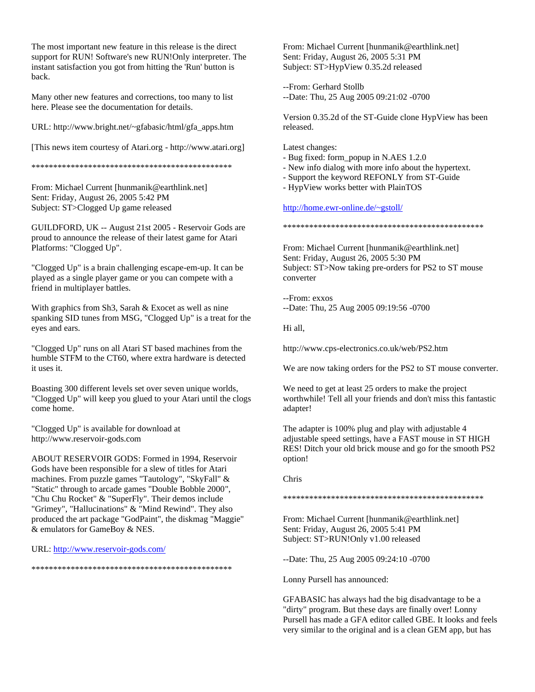The most important new feature in this release is the direct support for RUN! Software's new RUN!Only interpreter. The instant satisfaction you got from hitting the 'Run' button is back.

Many other new features and corrections, too many to list here. Please see the documentation for details.

URL: http://www.bright.net/~gfabasic/html/gfa\_apps.htm

[This news item courtesy of Atari.org - http://www.atari.org]

\*\*\*\*\*\*\*\*\*\*\*\*\*\*\*\*\*\*\*\*\*\*\*\*\*\*\*\*\*\*\*\*\*\*\*\*\*\*\*\*\*\*\*\*\*\*

From: Michael Current [hunmanik@earthlink.net] Sent: Friday, August 26, 2005 5:42 PM Subject: ST>Clogged Up game released

GUILDFORD, UK -- August 21st 2005 - Reservoir Gods are proud to announce the release of their latest game for Atari Platforms: "Clogged Up".

"Clogged Up" is a brain challenging escape-em-up. It can be played as a single player game or you can compete with a friend in multiplayer battles.

With graphics from Sh3, Sarah & Exocet as well as nine spanking SID tunes from MSG, "Clogged Up" is a treat for the eyes and ears.

"Clogged Up" runs on all Atari ST based machines from the humble STFM to the CT60, where extra hardware is detected it uses it.

Boasting 300 different levels set over seven unique worlds, "Clogged Up" will keep you glued to your Atari until the clogs come home.

"Clogged Up" is available for download at http://www.reservoir-gods.com

ABOUT RESERVOIR GODS: Formed in 1994, Reservoir Gods have been responsible for a slew of titles for Atari machines. From puzzle games "Tautology", "SkyFall" & "Static" through to arcade games "Double Bobble 2000", "Chu Chu Rocket" & "SuperFly". Their demos include "Grimey", "Hallucinations" & "Mind Rewind". They also produced the art package "GodPaint", the diskmag "Maggie" & emulators for GameBoy & NES.

URL:<http://www.reservoir-gods.com/>

\*\*\*\*\*\*\*\*\*\*\*\*\*\*\*\*\*\*\*\*\*\*\*\*\*\*\*\*\*\*\*\*\*\*\*\*\*\*\*\*\*\*\*\*\*\*

From: Michael Current [hunmanik@earthlink.net] Sent: Friday, August 26, 2005 5:31 PM Subject: ST>HypView 0.35.2d released

--From: Gerhard Stollb --Date: Thu, 25 Aug 2005 09:21:02 -0700

Version 0.35.2d of the ST-Guide clone HypView has been released.

Latest changes:

- Bug fixed: form\_popup in N.AES 1.2.0
- New info dialog with more info about the hypertext.
- Support the keyword REFONLY from ST-Guide
- HypView works better with PlainTOS

<http://home.ewr-online.de/~gstoll/>

\*\*\*\*\*\*\*\*\*\*\*\*\*\*\*\*\*\*\*\*\*\*\*\*\*\*\*\*\*\*\*\*\*\*\*\*\*\*\*\*\*\*\*\*\*\*

From: Michael Current [hunmanik@earthlink.net] Sent: Friday, August 26, 2005 5:30 PM Subject: ST>Now taking pre-orders for PS2 to ST mouse converter

--From: exxos --Date: Thu, 25 Aug 2005 09:19:56 -0700

Hi all,

http://www.cps-electronics.co.uk/web/PS2.htm

We are now taking orders for the PS2 to ST mouse converter.

We need to get at least 25 orders to make the project worthwhile! Tell all your friends and don't miss this fantastic adapter!

The adapter is 100% plug and play with adjustable 4 adjustable speed settings, have a FAST mouse in ST HIGH RES! Ditch your old brick mouse and go for the smooth PS2 option!

Chris

\*\*\*\*\*\*\*\*\*\*\*\*\*\*\*\*\*\*\*\*\*\*\*\*\*\*\*\*\*\*\*\*\*\*\*\*\*\*\*\*\*\*\*\*\*\*

From: Michael Current [hunmanik@earthlink.net] Sent: Friday, August 26, 2005 5:41 PM Subject: ST>RUN!Only v1.00 released

--Date: Thu, 25 Aug 2005 09:24:10 -0700

Lonny Pursell has announced:

GFABASIC has always had the big disadvantage to be a "dirty" program. But these days are finally over! Lonny Pursell has made a GFA editor called GBE. It looks and feels very similar to the original and is a clean GEM app, but has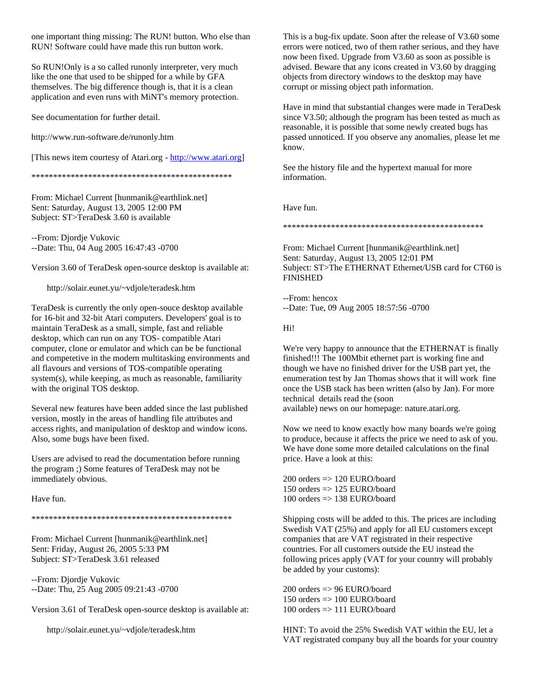one important thing missing: The RUN! button. Who else than RUN! Software could have made this run button work.

So RUN!Only is a so called runonly interpreter, very much like the one that used to be shipped for a while by GFA themselves. The big difference though is, that it is a clean application and even runs with MiNT's memory protection.

See documentation for further detail.

http://www.run-software.de/runonly.htm

[This news item courtesy of Atari.org - [http://www.atari.org\]](http://www.atari.org/)

\*\*\*\*\*\*\*\*\*\*\*\*\*\*\*\*\*\*\*\*\*\*\*\*\*\*\*\*\*\*\*\*\*\*\*\*\*\*\*\*\*\*\*\*\*\*

From: Michael Current [hunmanik@earthlink.net] Sent: Saturday, August 13, 2005 12:00 PM Subject: ST>TeraDesk 3.60 is available

--From: Djordje Vukovic --Date: Thu, 04 Aug 2005 16:47:43 -0700

Version 3.60 of TeraDesk open-source desktop is available at:

http://solair.eunet.yu/~vdjole/teradesk.htm

TeraDesk is currently the only open-souce desktop available for 16-bit and 32-bit Atari computers. Developers' goal is to maintain TeraDesk as a small, simple, fast and reliable desktop, which can run on any TOS- compatible Atari computer, clone or emulator and which can be be functional and competetive in the modern multitasking environments and all flavours and versions of TOS-compatible operating system(s), while keeping, as much as reasonable, familiarity with the original TOS desktop.

Several new features have been added since the last published version, mostly in the areas of handling file attributes and access rights, and manipulation of desktop and window icons. Also, some bugs have been fixed.

Users are advised to read the documentation before running the program ;) Some features of TeraDesk may not be immediately obvious.

Have fun.

\*\*\*\*\*\*\*\*\*\*\*\*\*\*\*\*\*\*\*\*\*\*\*\*\*\*\*\*\*\*\*\*\*\*\*\*\*\*\*\*\*\*\*\*\*\*

From: Michael Current [hunmanik@earthlink.net] Sent: Friday, August 26, 2005 5:33 PM Subject: ST>TeraDesk 3.61 released

--From: Djordje Vukovic --Date: Thu, 25 Aug 2005 09:21:43 -0700

Version 3.61 of TeraDesk open-source desktop is available at:

http://solair.eunet.yu/~vdjole/teradesk.htm

This is a bug-fix update. Soon after the release of V3.60 some errors were noticed, two of them rather serious, and they have now been fixed. Upgrade from V3.60 as soon as possible is advised. Beware that any icons created in V3.60 by dragging objects from directory windows to the desktop may have corrupt or missing object path information.

Have in mind that substantial changes were made in TeraDesk since V3.50; although the program has been tested as much as reasonable, it is possible that some newly created bugs has passed unnoticed. If you observe any anomalies, please let me know.

See the history file and the hypertext manual for more information.

Have fun.

\*\*\*\*\*\*\*\*\*\*\*\*\*\*\*\*\*\*\*\*\*\*\*\*\*\*\*\*\*\*\*\*\*\*\*\*\*\*\*\*\*\*\*\*\*\*

From: Michael Current [hunmanik@earthlink.net] Sent: Saturday, August 13, 2005 12:01 PM Subject: ST>The ETHERNAT Ethernet/USB card for CT60 is FINISHED

--From: hencox --Date: Tue, 09 Aug 2005 18:57:56 -0700

Hi!

We're very happy to announce that the ETHERNAT is finally finished!!! The 100Mbit ethernet part is working fine and though we have no finished driver for the USB part yet, the enumeration test by Jan Thomas shows that it will work fine once the USB stack has been written (also by Jan). For more technical details read the (soon available) news on our homepage: nature.atari.org.

Now we need to know exactly how many boards we're going to produce, because it affects the price we need to ask of you. We have done some more detailed calculations on the final price. Have a look at this:

 $200$  orders  $\Rightarrow$  120 EURO/board 150 orders  $\approx$  125 EURO/board  $100$  orders  $\Rightarrow$  138 EURO/board

Shipping costs will be added to this. The prices are including Swedish VAT (25%) and apply for all EU customers except companies that are VAT registrated in their respective countries. For all customers outside the EU instead the following prices apply (VAT for your country will probably be added by your customs):

 $200$  orders  $\Rightarrow$  96 EURO/board 150 orders  $\Rightarrow$  100 EURO/board 100 orders => 111 EURO/board

HINT: To avoid the 25% Swedish VAT within the EU, let a VAT registrated company buy all the boards for your country